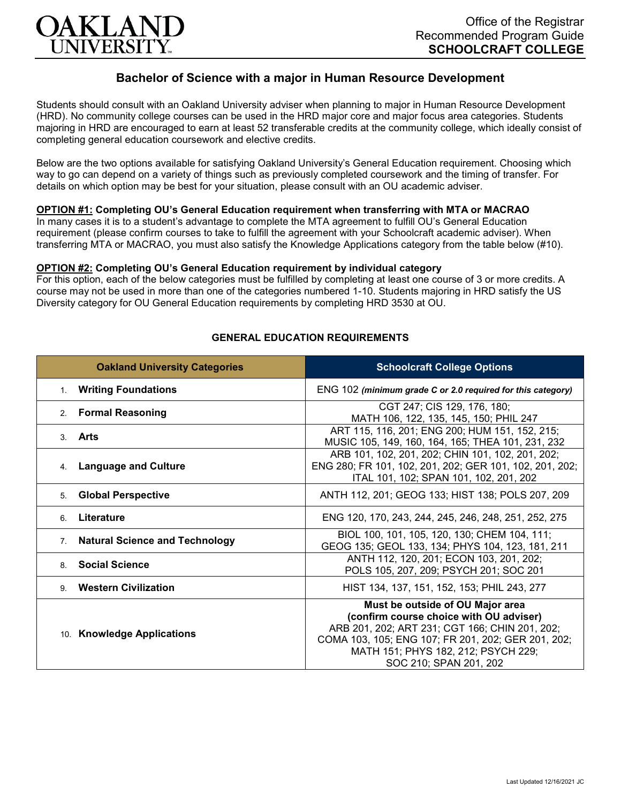

# **Bachelor of Science with a major in Human Resource Development**

Students should consult with an Oakland University adviser when planning to major in Human Resource Development (HRD). No community college courses can be used in the HRD major core and major focus area categories. Students majoring in HRD are encouraged to earn at least 52 transferable credits at the community college, which ideally consist of completing general education coursework and elective credits.

Below are the two options available for satisfying Oakland University's General Education requirement. Choosing which way to go can depend on a variety of things such as previously completed coursework and the timing of transfer. For details on which option may be best for your situation, please consult with an OU academic adviser.

## **OPTION #1: Completing OU's General Education requirement when transferring with MTA or MACRAO**

In many cases it is to a student's advantage to complete the MTA agreement to fulfill OU's General Education requirement (please confirm courses to take to fulfill the agreement with your Schoolcraft academic adviser). When transferring MTA or MACRAO, you must also satisfy the Knowledge Applications category from the table below (#10).

#### **OPTION #2: Completing OU's General Education requirement by individual category**

For this option, each of the below categories must be fulfilled by completing at least one course of 3 or more credits. A course may not be used in more than one of the categories numbered 1-10. Students majoring in HRD satisfy the US Diversity category for OU General Education requirements by completing HRD 3530 at OU.

| <b>Oakland University Categories</b>        | <b>Schoolcraft College Options</b>                                                                                                                                                                                                                   |
|---------------------------------------------|------------------------------------------------------------------------------------------------------------------------------------------------------------------------------------------------------------------------------------------------------|
| <b>Writing Foundations</b><br>1.            | ENG 102 (minimum grade C or 2.0 required for this category)                                                                                                                                                                                          |
| <b>Formal Reasoning</b><br>2 <sup>2</sup>   | CGT 247; CIS 129, 176, 180;<br>MATH 106, 122, 135, 145, 150; PHIL 247                                                                                                                                                                                |
| 3. Arts                                     | ART 115, 116, 201; ENG 200; HUM 151, 152, 215;<br>MUSIC 105, 149, 160, 164, 165; THEA 101, 231, 232                                                                                                                                                  |
| <b>Language and Culture</b><br>4.           | ARB 101, 102, 201, 202; CHIN 101, 102, 201, 202;<br>ENG 280; FR 101, 102, 201, 202; GER 101, 102, 201, 202;<br>ITAL 101, 102; SPAN 101, 102, 201, 202                                                                                                |
| <b>Global Perspective</b><br>5.             | ANTH 112, 201; GEOG 133; HIST 138; POLS 207, 209                                                                                                                                                                                                     |
| Literature<br>6                             | ENG 120, 170, 243, 244, 245, 246, 248, 251, 252, 275                                                                                                                                                                                                 |
| <b>Natural Science and Technology</b><br>7. | BIOL 100, 101, 105, 120, 130; CHEM 104, 111;<br>GEOG 135; GEOL 133, 134; PHYS 104, 123, 181, 211                                                                                                                                                     |
| <b>Social Science</b><br>8                  | ANTH 112, 120, 201; ECON 103, 201, 202;<br>POLS 105, 207, 209; PSYCH 201; SOC 201                                                                                                                                                                    |
| <b>Western Civilization</b><br>9            | HIST 134, 137, 151, 152, 153; PHIL 243, 277                                                                                                                                                                                                          |
| 10. Knowledge Applications                  | Must be outside of OU Major area<br>(confirm course choice with OU adviser)<br>ARB 201, 202; ART 231; CGT 166; CHIN 201, 202;<br>COMA 103, 105; ENG 107; FR 201, 202; GER 201, 202;<br>MATH 151; PHYS 182, 212; PSYCH 229;<br>SOC 210; SPAN 201, 202 |

### **GENERAL EDUCATION REQUIREMENTS**